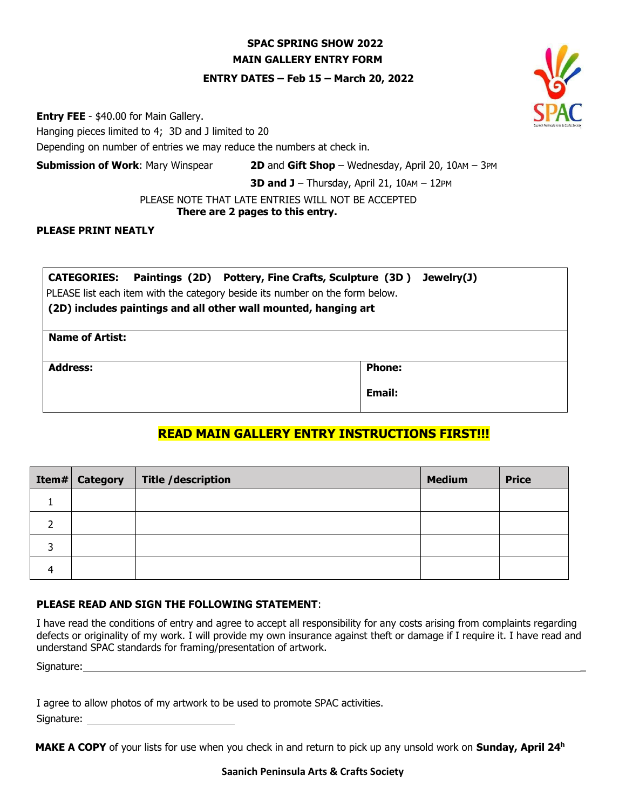## **SPAC SPRING SHOW 2022 MAIN GALLERY ENTRY FORM**

#### **ENTRY DATES – Feb 15 – March 20, 2022**

**Entry FEE** - \$40.00 for Main Gallery.

Hanging pieces limited to 4; 3D and J limited to 20

Depending on number of entries we may reduce the numbers at check in.

**Submission of Work**: Mary Winspear **2D** and **Gift Shop** – Wednesday, April 20, 10AM – 3PM

**3D and J** – Thursday, April 21, 10AM – 12PM

PLEASE NOTE THAT LATE ENTRIES WILL NOT BE ACCEPTED

## **There are 2 pages to this entry.**

### **PLEASE PRINT NEATLY**

| CATEGORIES: Paintings (2D) Pottery, Fine Crafts, Sculpture (3D) Jewelry(J)   |               |  |  |  |  |  |
|------------------------------------------------------------------------------|---------------|--|--|--|--|--|
| PLEASE list each item with the category beside its number on the form below. |               |  |  |  |  |  |
| (2D) includes paintings and all other wall mounted, hanging art              |               |  |  |  |  |  |
|                                                                              |               |  |  |  |  |  |
| <b>Name of Artist:</b>                                                       |               |  |  |  |  |  |
|                                                                              |               |  |  |  |  |  |
| <b>Address:</b>                                                              | <b>Phone:</b> |  |  |  |  |  |
|                                                                              | Email:        |  |  |  |  |  |
|                                                                              |               |  |  |  |  |  |

# **READ MAIN GALLERY ENTRY INSTRUCTIONS FIRST!!!**

| <b>Item# Category</b> | Title / description | <b>Medium</b> | <b>Price</b> |
|-----------------------|---------------------|---------------|--------------|
|                       |                     |               |              |
|                       |                     |               |              |
|                       |                     |               |              |
|                       |                     |               |              |

### **PLEASE READ AND SIGN THE FOLLOWING STATEMENT**:

I have read the conditions of entry and agree to accept all responsibility for any costs arising from complaints regarding defects or originality of my work. I will provide my own insurance against theft or damage if I require it. I have read and understand SPAC standards for framing/presentation of artwork.

Signature: \_

I agree to allow photos of my artwork to be used to promote SPAC activities.

Signature:

**MAKE A COPY** of your lists for use when you check in and return to pick up any unsold work on **Sunday, April 24<sup>h</sup>**